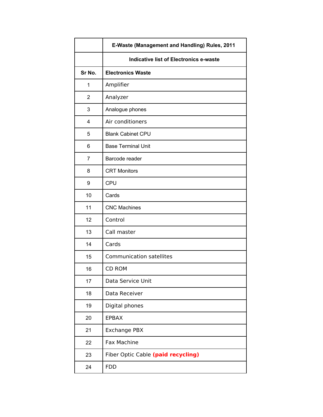|                | E-Waste (Management and Handling) Rules, 2011 |
|----------------|-----------------------------------------------|
|                | <b>Indicative list of Electronics e-waste</b> |
| Sr No.         | <b>Electronics Waste</b>                      |
| 1              | Amplifier                                     |
| $\overline{2}$ | Analyzer                                      |
| 3              | Analogue phones                               |
| 4              | Air conditioners                              |
| 5              | <b>Blank Cabinet CPU</b>                      |
| 6              | <b>Base Terminal Unit</b>                     |
| 7              | Barcode reader                                |
| 8              | <b>CRT Monitors</b>                           |
| 9              | <b>CPU</b>                                    |
| 10             | Cards                                         |
| 11             | <b>CNC Machines</b>                           |
| 12             | Control                                       |
| 13             | Call master                                   |
| 14             | Cards                                         |
| 15             | <b>Communication satellites</b>               |
| 16             | CD ROM                                        |
| 17             | Data Service Unit                             |
| 18             | Data Receiver                                 |
| 19             | Digital phones                                |
| 20             | <b>EPBAX</b>                                  |
| 21             | <b>Exchange PBX</b>                           |
| 22             | <b>Fax Machine</b>                            |
| 23             | Fiber Optic Cable (paid recycling)            |
| 24             | <b>FDD</b>                                    |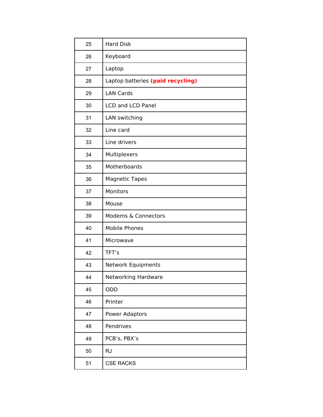| 25 | <b>Hard Disk</b>                  |
|----|-----------------------------------|
| 26 | Keyboard                          |
| 27 | Laptop                            |
| 28 | Laptop batteries (paid recycling) |
| 29 | <b>LAN Cards</b>                  |
| 30 | <b>LCD and LCD Panel</b>          |
| 31 | LAN switching                     |
| 32 | Line card                         |
| 33 | Line drivers                      |
| 34 | Multiplexers                      |
| 35 | Motherboards                      |
| 36 | <b>Magnetic Tapes</b>             |
| 37 | Monitors                          |
| 38 | Mouse                             |
| 39 | Modems & Connectors               |
| 40 | <b>Mobile Phones</b>              |
| 41 | Microwave                         |
| 42 | TFT's                             |
| 43 | Network Equipments                |
| 44 | Networking Hardware               |
| 45 | ODD                               |
| 46 | Printer                           |
| 47 | <b>Power Adaptors</b>             |
| 48 | Pendrives                         |
| 49 | PCB's, PBX's                      |
| 50 | <b>RJ</b>                         |
| 51 | <b>CSE RACKS</b>                  |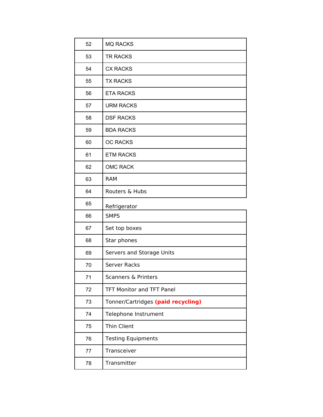| 52 | <b>MQ RACKS</b>                    |
|----|------------------------------------|
| 53 | <b>TR RACKS</b>                    |
| 54 | <b>CX RACKS</b>                    |
| 55 | <b>TX RACKS</b>                    |
| 56 | <b>ETA RACKS</b>                   |
| 57 | <b>URM RACKS</b>                   |
| 58 | <b>DSF RACKS</b>                   |
| 59 | <b>BDA RACKS</b>                   |
| 60 | <b>OC RACKS</b>                    |
| 61 | <b>ETM RACKS</b>                   |
| 62 | <b>OMC RACK</b>                    |
| 63 | <b>RAM</b>                         |
| 64 | Routers & Hubs                     |
| 65 | Refrigerator                       |
| 66 | <b>SMPS</b>                        |
| 67 | Set top boxes                      |
| 68 | Star phones                        |
| 69 | Servers and Storage Units          |
| 70 | <b>Server Racks</b>                |
| 71 | Scanners & Printers                |
| 72 | <b>TFT Monitor and TFT Panel</b>   |
| 73 | Tonner/Cartridges (paid recycling) |
| 74 | Telephone Instrument               |
| 75 | <b>Thin Client</b>                 |
| 76 | <b>Testing Equipments</b>          |
| 77 | Transceiver                        |
| 78 | Transmitter                        |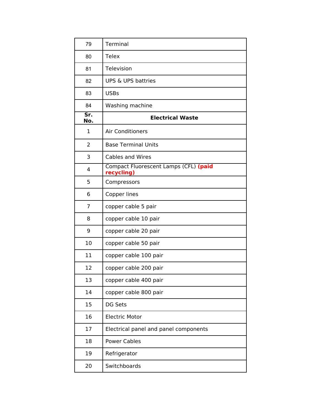| 79                               | Terminal                                            |
|----------------------------------|-----------------------------------------------------|
| 80                               | <b>Telex</b>                                        |
| 81                               | Television                                          |
| 82                               | <b>UPS &amp; UPS battries</b>                       |
| 83                               | <b>USBs</b>                                         |
| 84                               | Washing machine                                     |
| $\overline{\mathsf{Sr.}}$<br>No. | <b>Electrical Waste</b>                             |
| 1                                | <b>Air Conditioners</b>                             |
| $\overline{2}$                   | <b>Base Terminal Units</b>                          |
| 3                                | <b>Cables and Wires</b>                             |
| 4                                | Compact Fluorescent Lamps (CFL) (paid<br>recycling) |
| 5                                | Compressors                                         |
| 6                                | Copper lines                                        |
| 7                                | copper cable 5 pair                                 |
| 8                                | copper cable 10 pair                                |
| 9                                | copper cable 20 pair                                |
| 10                               | copper cable 50 pair                                |
| 11                               | copper cable 100 pair                               |
| 12                               | copper cable 200 pair                               |
| 13                               | copper cable 400 pair                               |
| 14                               | copper cable 800 pair                               |
| 15                               | DG Sets                                             |
| 16                               | <b>Electric Motor</b>                               |
| 17                               | Electrical panel and panel components               |
| 18                               | <b>Power Cables</b>                                 |
| 19                               | Refrigerator                                        |
| 20                               | Switchboards                                        |